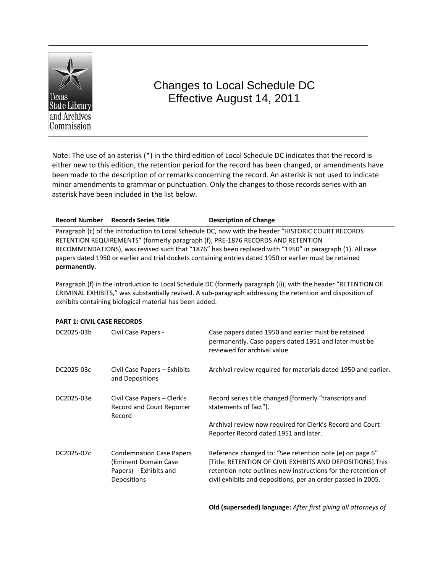

# Changes to Local Schedule DC Effective August 14, 2011

Note: The use of an asterisk (\*) in the third edition of Local Schedule DC indicates that the record is either new to this edition, the retention period for the record has been changed, or amendments have been made to the description of or remarks concerning the record. An asterisk is not used to indicate minor amendments to grammar or punctuation. Only the changes to those records series with an asterisk have been included in the list below.

## **Record Number Records Series Title Description of Change**

Paragraph (c) of the introduction to Local Schedule DC, now with the header "HISTORIC COURT RECORDS RETENTION REQUIREMENTS" (formerly paragraph (f), PRE-1876 RECORDS AND RETENTION RECOMMENDATIONS), was revised such that "1876" has been replaced with "1950" in paragraph (1). All case papers dated 1950 or earlier and trial dockets containing entries dated 1950 or earlier must be retained **permanently.** 

Paragraph (f) in the introduction to Local Schedule DC (formerly paragraph (i)), with the header "RETENTION OF CRIMINAL EXHIBITS," was substantially revised. A sub-paragraph addressing the retention and disposition of exhibits containing biological material has been added.

### **PART 1: CIVIL CASE RECORDS**

| DC2025-03b | Civil Case Papers -                                                                              | Case papers dated 1950 and earlier must be retained<br>permanently. Case papers dated 1951 and later must be<br>reviewed for archival value.                                                                                                           |
|------------|--------------------------------------------------------------------------------------------------|--------------------------------------------------------------------------------------------------------------------------------------------------------------------------------------------------------------------------------------------------------|
| DC2025-03c | Civil Case Papers - Exhibits<br>and Depositions                                                  | Archival review required for materials dated 1950 and earlier.                                                                                                                                                                                         |
| DC2025-03e | Civil Case Papers – Clerk's<br>Record and Court Reporter<br>Record                               | Record series title changed [formerly "transcripts and<br>statements of fact"].                                                                                                                                                                        |
|            |                                                                                                  | Archival review now required for Clerk's Record and Court<br>Reporter Record dated 1951 and later.                                                                                                                                                     |
| DC2025-07c | <b>Condemnation Case Papers</b><br>(Eminent Domain Case<br>Papers) - Exhibits and<br>Depositions | Reference changed to: "See retention note (e) on page 6"<br>[Title: RETENTION OF CIVIL EXHIBITS AND DEPOSITIONS].This<br>retention note outlines new instructions for the retention of<br>civil exhibits and depositions, per an order passed in 2005. |

**Old (superseded) language:** *After first giving all attorneys of*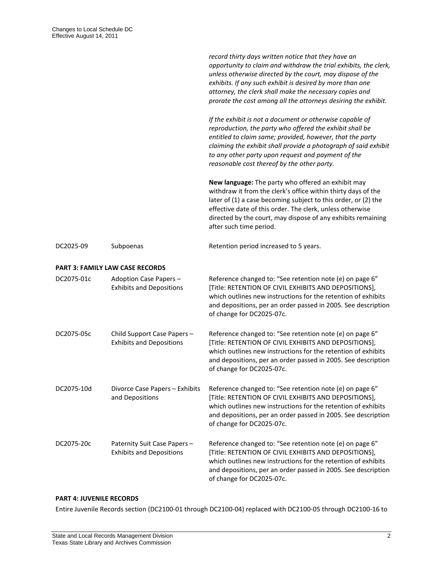*record thirty days written notice that they have an opportunity to claim and withdraw the trial exhibits, the clerk, unless otherwise directed by the court, may dispose of the exhibits. If any such exhibit is desired by more than one attorney, the clerk shall make the necessary copies and prorate the cost among all the attorneys desiring the exhibit.*

*If the exhibit is not a document or otherwise capable of reproduction, the party who offered the exhibit shall be entitled to claim same; provided, however, that the party claiming the exhibit shall provide a photograph of said exhibit to any other party upon request and payment of the reasonable cost thereof by the other party.*

**New language:** The party who offered an exhibit may withdraw it from the clerk's office within thirty days of the later of (1) a case becoming subject to this order, or (2) the effective date of this order. The clerk, unless otherwise directed by the court, may dispose of any exhibits remaining after such time period.

| DC2025-09 | Subpoenas | Retention period increased to 5 years. |
|-----------|-----------|----------------------------------------|
|-----------|-----------|----------------------------------------|

#### **PART 3: FAMILY LAW CASE RECORDS**

| DC2075-01c | Adoption Case Papers -<br><b>Exhibits and Depositions</b>       | Reference changed to: "See retention note (e) on page 6"<br>[Title: RETENTION OF CIVIL EXHIBITS AND DEPOSITIONS],<br>which outlines new instructions for the retention of exhibits<br>and depositions, per an order passed in 2005. See description<br>of change for DC2025-07c. |
|------------|-----------------------------------------------------------------|----------------------------------------------------------------------------------------------------------------------------------------------------------------------------------------------------------------------------------------------------------------------------------|
| DC2075-05c | Child Support Case Papers -<br><b>Exhibits and Depositions</b>  | Reference changed to: "See retention note (e) on page 6"<br>[Title: RETENTION OF CIVIL EXHIBITS AND DEPOSITIONS],<br>which outlines new instructions for the retention of exhibits<br>and depositions, per an order passed in 2005. See description<br>of change for DC2025-07c. |
| DC2075-10d | Divorce Case Papers - Exhibits<br>and Depositions               | Reference changed to: "See retention note (e) on page 6"<br>[Title: RETENTION OF CIVIL EXHIBITS AND DEPOSITIONS],<br>which outlines new instructions for the retention of exhibits<br>and depositions, per an order passed in 2005. See description<br>of change for DC2025-07c. |
| DC2075-20c | Paternity Suit Case Papers -<br><b>Exhibits and Depositions</b> | Reference changed to: "See retention note (e) on page 6"<br>[Title: RETENTION OF CIVIL EXHIBITS AND DEPOSITIONS],<br>which outlines new instructions for the retention of exhibits<br>and depositions, per an order passed in 2005. See description<br>of change for DC2025-07c. |

#### **PART 4: JUVENILE RECORDS**

Entire Juvenile Records section (DC2100-01 through DC2100-04) replaced with DC2100-05 through DC2100-16 to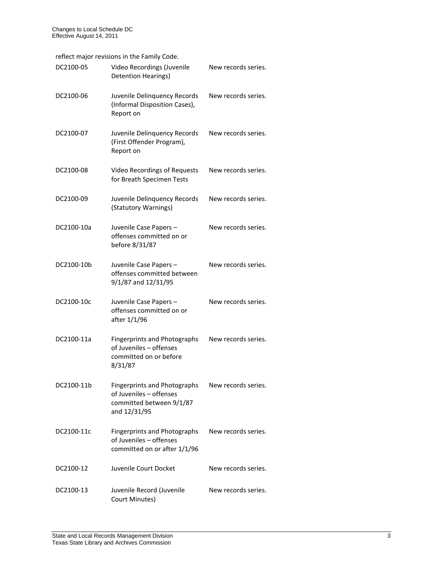reflect major revisions in the Family Code.

| DC2100-05  | Video Recordings (Juvenile<br>Detention Hearings)                                                   | New records series. |
|------------|-----------------------------------------------------------------------------------------------------|---------------------|
| DC2100-06  | Juvenile Delinquency Records<br>(Informal Disposition Cases),<br>Report on                          | New records series. |
| DC2100-07  | Juvenile Delinquency Records<br>(First Offender Program),<br>Report on                              | New records series. |
| DC2100-08  | Video Recordings of Requests<br>for Breath Specimen Tests                                           | New records series. |
| DC2100-09  | Juvenile Delinquency Records<br>(Statutory Warnings)                                                | New records series. |
| DC2100-10a | Juvenile Case Papers-<br>offenses committed on or<br>before 8/31/87                                 | New records series. |
| DC2100-10b | Juvenile Case Papers-<br>offenses committed between<br>9/1/87 and 12/31/95                          | New records series. |
| DC2100-10c | Juvenile Case Papers-<br>offenses committed on or<br>after 1/1/96                                   | New records series. |
| DC2100-11a | <b>Fingerprints and Photographs</b><br>of Juveniles - offenses<br>committed on or before<br>8/31/87 | New records series. |
| DC2100-11b | Fingerprints and Photographs<br>of Juveniles - offenses<br>committed between 9/1/87<br>and 12/31/95 | New records series. |
| DC2100-11c | <b>Fingerprints and Photographs</b><br>of Juveniles - offenses<br>committed on or after 1/1/96      | New records series. |
| DC2100-12  | Juvenile Court Docket                                                                               | New records series. |
| DC2100-13  | Juvenile Record (Juvenile<br>Court Minutes)                                                         | New records series. |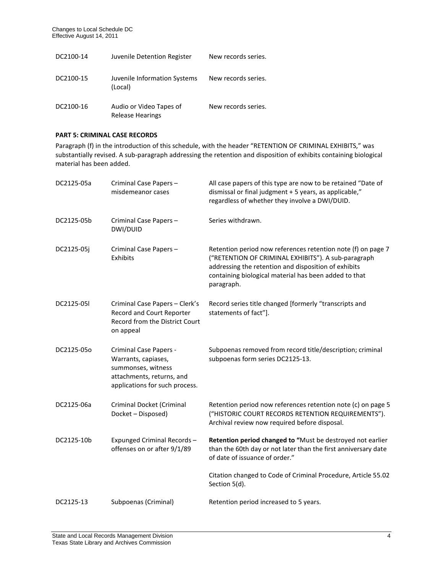| DC2100-14 | Juvenile Detention Register                        | New records series. |
|-----------|----------------------------------------------------|---------------------|
| DC2100-15 | Juvenile Information Systems<br>(Local)            | New records series. |
| DC2100-16 | Audio or Video Tapes of<br><b>Release Hearings</b> | New records series. |

## **PART 5: CRIMINAL CASE RECORDS**

Paragraph (f) in the introduction of this schedule, with the header "RETENTION OF CRIMINAL EXHIBITS," was substantially revised. A sub-paragraph addressing the retention and disposition of exhibits containing biological material has been added.

| DC2125-05a | Criminal Case Papers -<br>misdemeanor cases                                                                                        | All case papers of this type are now to be retained "Date of<br>dismissal or final judgment + 5 years, as applicable,"<br>regardless of whether they involve a DWI/DUID.                                                                           |
|------------|------------------------------------------------------------------------------------------------------------------------------------|----------------------------------------------------------------------------------------------------------------------------------------------------------------------------------------------------------------------------------------------------|
| DC2125-05b | Criminal Case Papers -<br>DWI/DUID                                                                                                 | Series withdrawn.                                                                                                                                                                                                                                  |
| DC2125-05j | Criminal Case Papers -<br>Exhibits                                                                                                 | Retention period now references retention note (f) on page 7<br>("RETENTION OF CRIMINAL EXHIBITS"). A sub-paragraph<br>addressing the retention and disposition of exhibits<br>containing biological material has been added to that<br>paragraph. |
| DC2125-05l | Criminal Case Papers - Clerk's<br>Record and Court Reporter<br>Record from the District Court<br>on appeal                         | Record series title changed [formerly "transcripts and<br>statements of fact"].                                                                                                                                                                    |
| DC2125-05o | Criminal Case Papers -<br>Warrants, capiases,<br>summonses, witness<br>attachments, returns, and<br>applications for such process. | Subpoenas removed from record title/description; criminal<br>subpoenas form series DC2125-13.                                                                                                                                                      |
| DC2125-06a | Criminal Docket (Criminal<br>Docket - Disposed)                                                                                    | Retention period now references retention note (c) on page 5<br>("HISTORIC COURT RECORDS RETENTION REQUIREMENTS").<br>Archival review now required before disposal.                                                                                |
| DC2125-10b | Expunged Criminal Records-<br>offenses on or after 9/1/89                                                                          | Retention period changed to "Must be destroyed not earlier<br>than the 60th day or not later than the first anniversary date<br>of date of issuance of order."                                                                                     |
|            |                                                                                                                                    | Citation changed to Code of Criminal Procedure, Article 55.02<br>Section 5(d).                                                                                                                                                                     |
| DC2125-13  | Subpoenas (Criminal)                                                                                                               | Retention period increased to 5 years.                                                                                                                                                                                                             |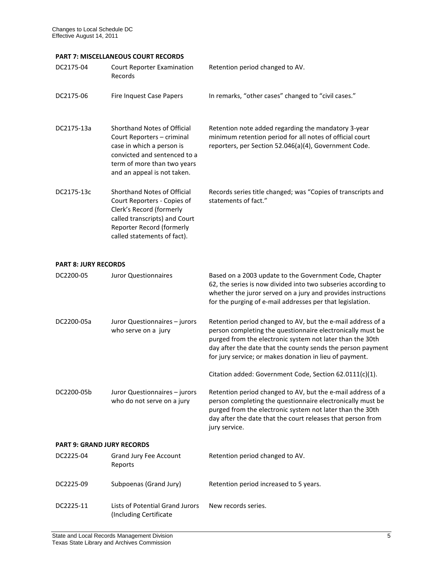## **PART 7: MISCELLANEOUS COURT RECORDS**

| DC2175-04                   | <b>Court Reporter Examination</b><br>Records                                                                                                                                         | Retention period changed to AV.                                                                                                                                                                                                                                                                                  |
|-----------------------------|--------------------------------------------------------------------------------------------------------------------------------------------------------------------------------------|------------------------------------------------------------------------------------------------------------------------------------------------------------------------------------------------------------------------------------------------------------------------------------------------------------------|
| DC2175-06                   | <b>Fire Inquest Case Papers</b>                                                                                                                                                      | In remarks, "other cases" changed to "civil cases."                                                                                                                                                                                                                                                              |
| DC2175-13a                  | Shorthand Notes of Official<br>Court Reporters - criminal<br>case in which a person is<br>convicted and sentenced to a<br>term of more than two years<br>and an appeal is not taken. | Retention note added regarding the mandatory 3-year<br>minimum retention period for all notes of official court<br>reporters, per Section 52.046(a)(4), Government Code.                                                                                                                                         |
| DC2175-13c                  | Shorthand Notes of Official<br>Court Reporters - Copies of<br>Clerk's Record (formerly<br>called transcripts) and Court<br>Reporter Record (formerly<br>called statements of fact).  | Records series title changed; was "Copies of transcripts and<br>statements of fact."                                                                                                                                                                                                                             |
| <b>PART 8: JURY RECORDS</b> |                                                                                                                                                                                      |                                                                                                                                                                                                                                                                                                                  |
| DC2200-05                   | <b>Juror Questionnaires</b>                                                                                                                                                          | Based on a 2003 update to the Government Code, Chapter<br>62, the series is now divided into two subseries according to<br>whether the juror served on a jury and provides instructions<br>for the purging of e-mail addresses per that legislation.                                                             |
| DC2200-05a                  | Juror Questionnaires - jurors<br>who serve on a jury                                                                                                                                 | Retention period changed to AV, but the e-mail address of a<br>person completing the questionnaire electronically must be<br>purged from the electronic system not later than the 30th<br>day after the date that the county sends the person payment<br>for jury service; or makes donation in lieu of payment. |
|                             |                                                                                                                                                                                      | Citation added: Government Code, Section 62.0111(c)(1).                                                                                                                                                                                                                                                          |
| DC2200-05b                  | Juror Questionnaires - jurors<br>who do not serve on a jury                                                                                                                          | Retention period changed to AV, but the e-mail address of a<br>person completing the questionnaire electronically must be<br>purged from the electronic system not later than the 30th<br>day after the date that the court releases that person from<br>jury service.                                           |
|                             | <b>PART 9: GRAND JURY RECORDS</b>                                                                                                                                                    |                                                                                                                                                                                                                                                                                                                  |
| DC2225-04                   | Grand Jury Fee Account<br>Reports                                                                                                                                                    | Retention period changed to AV.                                                                                                                                                                                                                                                                                  |
| DC2225-09                   | Subpoenas (Grand Jury)                                                                                                                                                               | Retention period increased to 5 years.                                                                                                                                                                                                                                                                           |
| DC2225-11                   | Lists of Potential Grand Jurors                                                                                                                                                      | New records series.                                                                                                                                                                                                                                                                                              |

(Including Certificate